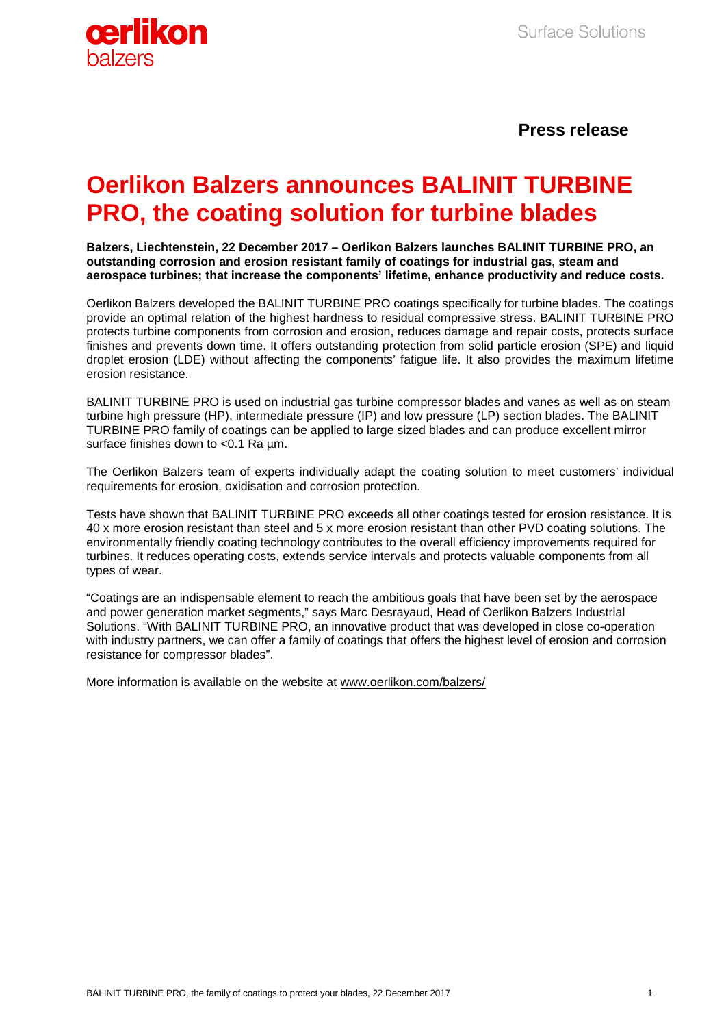

## **Press release**

# **Oerlikon Balzers announces BALINIT TURBINE PRO, the coating solution for turbine blades**

**Balzers, Liechtenstein, 22 December 2017 – Oerlikon Balzers launches BALINIT TURBINE PRO, an outstanding corrosion and erosion resistant family of coatings for industrial gas, steam and aerospace turbines; that increase the components' lifetime, enhance productivity and reduce costs.**

Oerlikon Balzers developed the BALINIT TURBINE PRO coatings specifically for turbine blades. The coatings provide an optimal relation of the highest hardness to residual compressive stress. BALINIT TURBINE PRO protects turbine components from corrosion and erosion, reduces damage and repair costs, protects surface finishes and prevents down time. It offers outstanding protection from solid particle erosion (SPE) and liquid droplet erosion (LDE) without affecting the components' fatigue life. It also provides the maximum lifetime erosion resistance.

BALINIT TURBINE PRO is used on industrial gas turbine compressor blades and vanes as well as on steam turbine high pressure (HP), intermediate pressure (IP) and low pressure (LP) section blades. The BALINIT TURBINE PRO family of coatings can be applied to large sized blades and can produce excellent mirror surface finishes down to <0.1 Ra µm.

The Oerlikon Balzers team of experts individually adapt the coating solution to meet customers' individual requirements for erosion, oxidisation and corrosion protection.

Tests have shown that BALINIT TURBINE PRO exceeds all other coatings tested for erosion resistance. It is 40 x more erosion resistant than steel and 5 x more erosion resistant than other PVD coating solutions. The environmentally friendly coating technology contributes to the overall efficiency improvements required for turbines. It reduces operating costs, extends service intervals and protects valuable components from all types of wear.

"Coatings are an indispensable element to reach the ambitious goals that have been set by the aerospace and power generation market segments," says Marc Desrayaud, Head of Oerlikon Balzers Industrial Solutions. "With BALINIT TURBINE PRO, an innovative product that was developed in close co-operation with industry partners, we can offer a family of coatings that offers the highest level of erosion and corrosion resistance for compressor blades".

More information is available on the website at [www.oerlikon.com/balzers/](http://www.oerlikon.com/balzers/)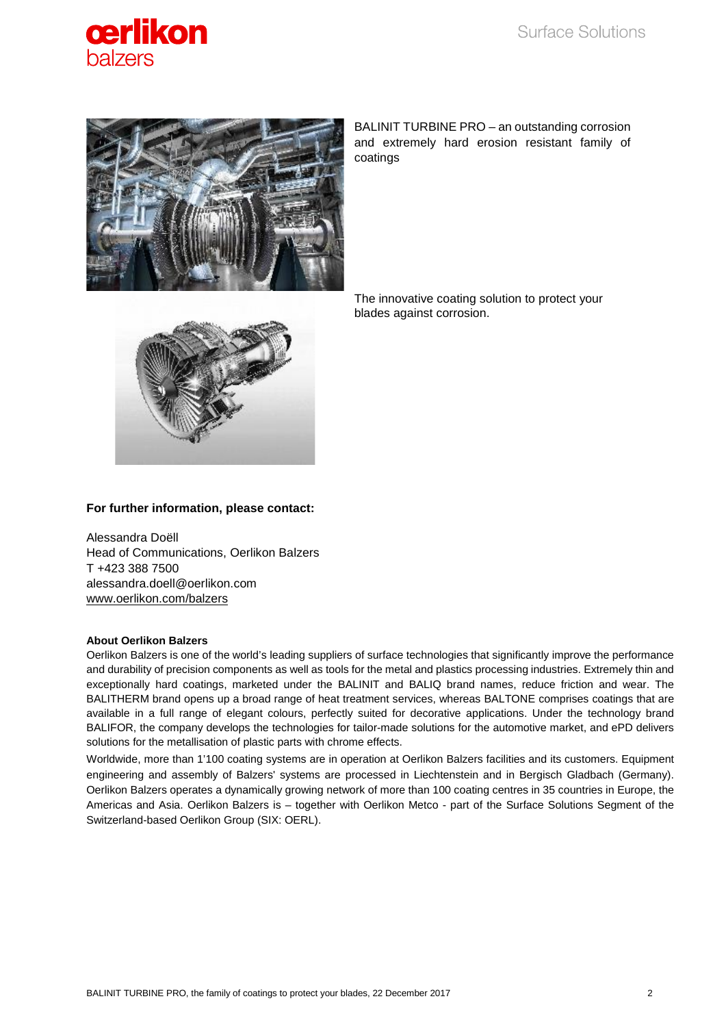



BALINIT TURBINE PRO – an outstanding corrosion and extremely hard erosion resistant family of coatings



The innovative coating solution to protect your blades against corrosion.

## **For further information, please contact:**

Alessandra Doëll Head of Communications, Oerlikon Balzers T +423 388 7500 alessandra.doell@oerlikon.com [www.oerlikon.com/balzers](http://www.oerlikon.com/balzers)

### **About Oerlikon Balzers**

Oerlikon Balzers is one of the world's leading suppliers of surface technologies that significantly improve the performance and durability of precision components as well as tools for the metal and plastics processing industries. Extremely thin and exceptionally hard coatings, marketed under the BALINIT and BALIQ brand names, reduce friction and wear. The BALITHERM brand opens up a broad range of heat treatment services, whereas BALTONE comprises coatings that are available in a full range of elegant colours, perfectly suited for decorative applications. Under the technology brand BALIFOR, the company develops the technologies for tailor-made solutions for the automotive market, and ePD delivers solutions for the metallisation of plastic parts with chrome effects.

Worldwide, more than 1'100 coating systems are in operation at Oerlikon Balzers facilities and its customers. Equipment engineering and assembly of Balzers' systems are processed in Liechtenstein and in Bergisch Gladbach (Germany). Oerlikon Balzers operates a dynamically growing network of more than 100 coating centres in 35 countries in Europe, the Americas and Asia. Oerlikon Balzers is – together with Oerlikon Metco - part of the Surface Solutions Segment of the Switzerland-based Oerlikon Group (SIX: OERL).